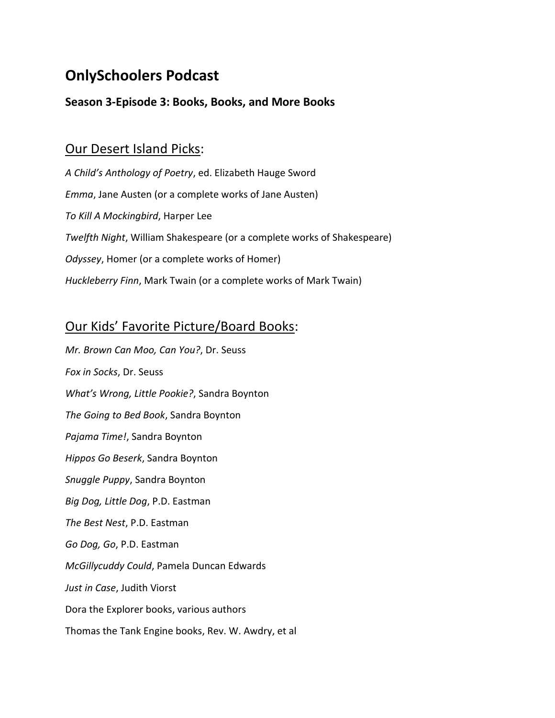# **OnlySchoolers Podcast**

#### **Season 3-Episode 3: Books, Books, and More Books**

#### Our Desert Island Picks:

*A Child's Anthology of Poetry*, ed. Elizabeth Hauge Sword *Emma*, Jane Austen (or a complete works of Jane Austen) *To Kill A Mockingbird*, Harper Lee *Twelfth Night*, William Shakespeare (or a complete works of Shakespeare) *Odyssey*, Homer (or a complete works of Homer) *Huckleberry Finn*, Mark Twain (or a complete works of Mark Twain)

### Our Kids' Favorite Picture/Board Books:

*Mr. Brown Can Moo, Can You?*, Dr. Seuss *Fox in Socks*, Dr. Seuss *What's Wrong, Little Pookie?*, Sandra Boynton *The Going to Bed Book*, Sandra Boynton *Pajama Time!*, Sandra Boynton *Hippos Go Beserk*, Sandra Boynton *Snuggle Puppy*, Sandra Boynton *Big Dog, Little Dog*, P.D. Eastman *The Best Nest*, P.D. Eastman *Go Dog, Go*, P.D. Eastman *McGillycuddy Could*, Pamela Duncan Edwards *Just in Case*, Judith Viorst Dora the Explorer books, various authors Thomas the Tank Engine books, Rev. W. Awdry, et al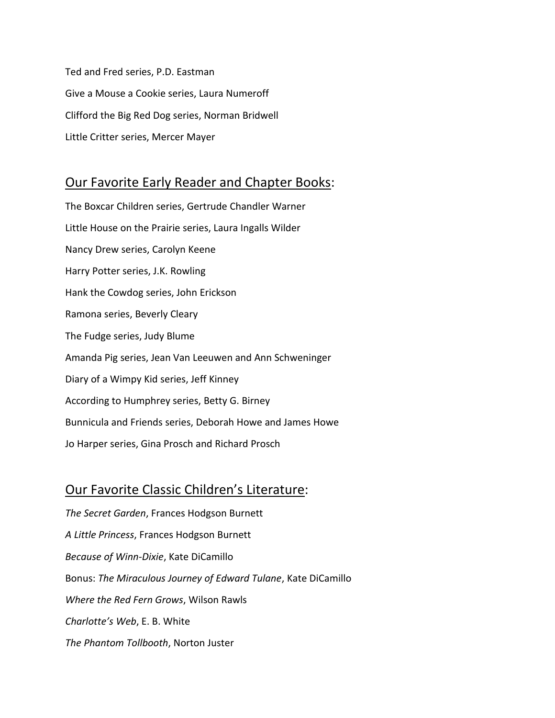Ted and Fred series, P.D. Eastman Give a Mouse a Cookie series, Laura Numeroff Clifford the Big Red Dog series, Norman Bridwell Little Critter series, Mercer Mayer

# Our Favorite Early Reader and Chapter Books:

The Boxcar Children series, Gertrude Chandler Warner Little House on the Prairie series, Laura Ingalls Wilder Nancy Drew series, Carolyn Keene Harry Potter series, J.K. Rowling Hank the Cowdog series, John Erickson Ramona series, Beverly Cleary The Fudge series, Judy Blume Amanda Pig series, Jean Van Leeuwen and Ann Schweninger Diary of a Wimpy Kid series, Jeff Kinney According to Humphrey series, Betty G. Birney Bunnicula and Friends series, Deborah Howe and James Howe Jo Harper series, Gina Prosch and Richard Prosch

# Our Favorite Classic Children's Literature:

*The Secret Garden*, Frances Hodgson Burnett *A Little Princess*, Frances Hodgson Burnett *Because of Winn-Dixie*, Kate DiCamillo Bonus: *The Miraculous Journey of Edward Tulane*, Kate DiCamillo *Where the Red Fern Grows*, Wilson Rawls *Charlotte's Web*, E. B. White *The Phantom Tollbooth*, Norton Juster